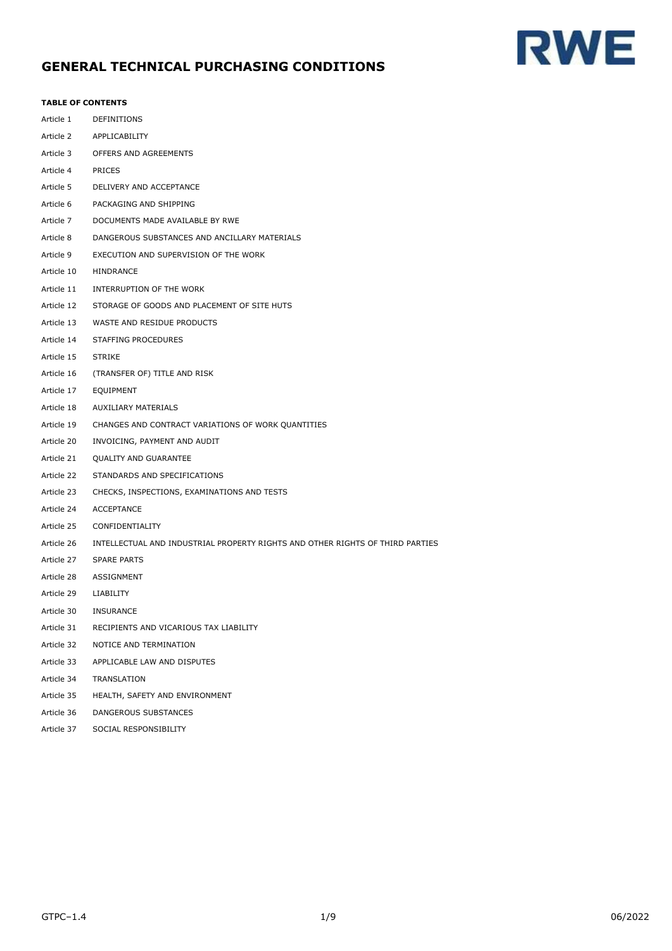# **RWE**

# **GENERAL TECHNICAL PURCHASING CONDITIONS**

# **TABLE OF CONTENTS**

| Article 1  | DEFINITIONS                                                                   |
|------------|-------------------------------------------------------------------------------|
| Article 2  | APPLICABILITY                                                                 |
| Article 3  | OFFERS AND AGREEMENTS                                                         |
| Article 4  | PRICES                                                                        |
| Article 5  | DELIVERY AND ACCEPTANCE                                                       |
| Article 6  | PACKAGING AND SHIPPING                                                        |
| Article 7  | DOCUMENTS MADE AVAILABLE BY RWE                                               |
| Article 8  | DANGEROUS SUBSTANCES AND ANCILLARY MATERIALS                                  |
| Article 9  | EXECUTION AND SUPERVISION OF THE WORK                                         |
| Article 10 | HINDRANCE                                                                     |
| Article 11 | INTERRUPTION OF THE WORK                                                      |
| Article 12 | STORAGE OF GOODS AND PLACEMENT OF SITE HUTS                                   |
| Article 13 | WASTE AND RESIDUE PRODUCTS                                                    |
| Article 14 | STAFFING PROCEDURES                                                           |
| Article 15 | <b>STRIKE</b>                                                                 |
| Article 16 | (TRANSFER OF) TITLE AND RISK                                                  |
| Article 17 | EQUIPMENT                                                                     |
| Article 18 | <b>AUXILIARY MATERIALS</b>                                                    |
| Article 19 | CHANGES AND CONTRACT VARIATIONS OF WORK QUANTITIES                            |
| Article 20 | INVOICING, PAYMENT AND AUDIT                                                  |
| Article 21 | <b>QUALITY AND GUARANTEE</b>                                                  |
| Article 22 | STANDARDS AND SPECIFICATIONS                                                  |
| Article 23 | CHECKS, INSPECTIONS, EXAMINATIONS AND TESTS                                   |
| Article 24 | <b>ACCEPTANCE</b>                                                             |
| Article 25 | CONFIDENTIALITY                                                               |
| Article 26 | INTELLECTUAL AND INDUSTRIAL PROPERTY RIGHTS AND OTHER RIGHTS OF THIRD PARTIES |
| Article 27 | <b>SPARE PARTS</b>                                                            |
| Article 28 | ASSIGNMENT                                                                    |
| Article 29 | LIABILITY                                                                     |
| Article 30 | <b>INSURANCE</b>                                                              |
| Article 31 | RECIPIENTS AND VICARIOUS TAX LIABILITY                                        |
| Article 32 | NOTICE AND TERMINATION                                                        |
| Article 33 | APPLICABLE LAW AND DISPUTES                                                   |
| Article 34 | TRANSLATION                                                                   |
| Article 35 | HEALTH, SAFETY AND ENVIRONMENT                                                |
| Article 36 | DANGEROUS SUBSTANCES                                                          |
| Article 37 | SOCIAL RESPONSIBILITY                                                         |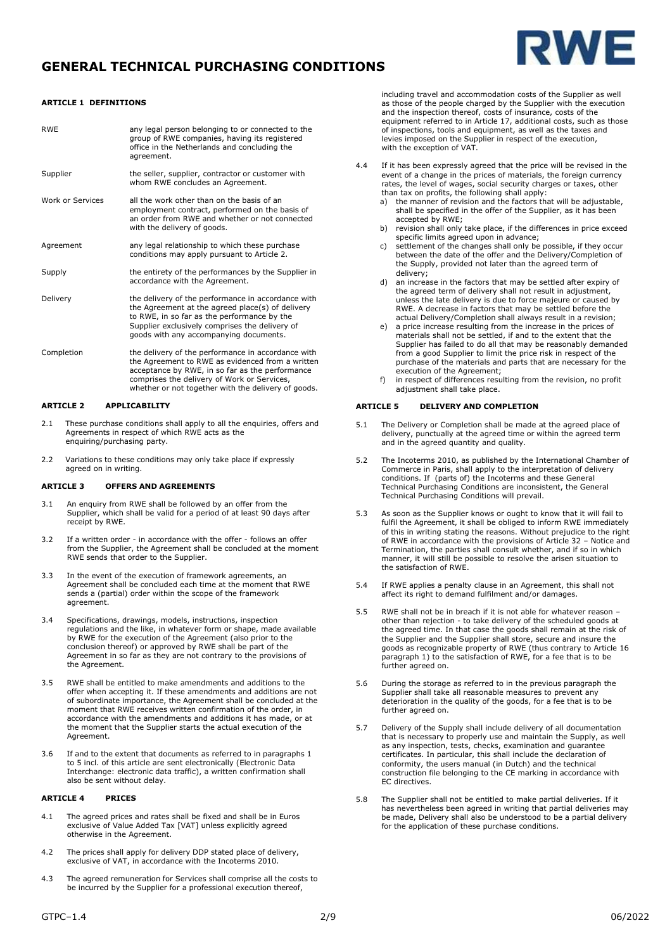



## **ARTICLE 1 DEFINITIONS**

| <b>RWF</b>       | any legal person belonging to or connected to the<br>group of RWE companies, having its registered<br>office in the Netherlands and concluding the<br>agreement.                                                                                                |
|------------------|-----------------------------------------------------------------------------------------------------------------------------------------------------------------------------------------------------------------------------------------------------------------|
| Supplier         | the seller, supplier, contractor or customer with<br>whom RWE concludes an Agreement.                                                                                                                                                                           |
| Work or Services | all the work other than on the basis of an<br>employment contract, performed on the basis of<br>an order from RWE and whether or not connected<br>with the delivery of goods.                                                                                   |
| Agreement        | any legal relationship to which these purchase<br>conditions may apply pursuant to Article 2.                                                                                                                                                                   |
| Supply           | the entirety of the performances by the Supplier in<br>accordance with the Agreement.                                                                                                                                                                           |
| Delivery         | the delivery of the performance in accordance with<br>the Agreement at the agreed place(s) of delivery<br>to RWE, in so far as the performance by the<br>Supplier exclusively comprises the delivery of<br>goods with any accompanying documents.               |
| Completion       | the delivery of the performance in accordance with<br>the Agreement to RWE as evidenced from a written<br>acceptance by RWE, in so far as the performance<br>comprises the delivery of Work or Services,<br>whether or not together with the delivery of goods. |

# **ARTICLE 2 APPLICABILITY**

- 2.1 These purchase conditions shall apply to all the enquiries, offers and Agreements in respect of which RWE acts as the enquiring/purchasing party.
- 2.2 Variations to these conditions may only take place if expressly agreed on in writing.

#### **ARTICLE 3 OFFERS AND AGREEMENTS**

- 3.1 An enquiry from RWE shall be followed by an offer from the Supplier, which shall be valid for a period of at least 90 days after receipt by RWE.
- 3.2 If a written order in accordance with the offer follows an offer from the Supplier, the Agreement shall be concluded at the moment RWE sends that order to the Supplier.
- 3.3 In the event of the execution of framework agreements, an Agreement shall be concluded each time at the moment that RWE sends a (partial) order within the scope of the framework agreement.
- 3.4 Specifications, drawings, models, instructions, inspection regulations and the like, in whatever form or shape, made available by RWE for the execution of the Agreement (also prior to the conclusion thereof) or approved by RWE shall be part of the Agreement in so far as they are not contrary to the provisions of the Agreement.
- 3.5 RWE shall be entitled to make amendments and additions to the offer when accepting it. If these amendments and additions are not of subordinate importance, the Agreement shall be concluded at the moment that RWE receives written confirmation of the order, in accordance with the amendments and additions it has made, or at the moment that the Supplier starts the actual execution of the Agreement.
- 3.6 If and to the extent that documents as referred to in paragraphs 1 to 5 incl. of this article are sent electronically (Electronic Data Interchange: electronic data traffic), a written confirmation shall also be sent without delay.

### **ARTICLE 4 PRICES**

- 4.1 The agreed prices and rates shall be fixed and shall be in Euros exclusive of Value Added Tax [VAT] unless explicitly agreed otherwise in the Agreement.
- 4.2 The prices shall apply for delivery DDP stated place of delivery, exclusive of VAT, in accordance with the Incoterms 2010.
- 4.3 The agreed remuneration for Services shall comprise all the costs to be incurred by the Supplier for a professional execution thereof,

including travel and accommodation costs of the Supplier as well as those of the people charged by the Supplier with the execution and the inspection thereof, costs of insurance, costs of the equipment referred to in Article 17, additional costs, such as those of inspections, tools and equipment, as well as the taxes and levies imposed on the Supplier in respect of the execution, with the exception of VAT.

- 4.4 If it has been expressly agreed that the price will be revised in the event of a change in the prices of materials, the foreign currency rates, the level of wages, social security charges or taxes, other than tax on profits, the following shall apply:
	- a) the manner of revision and the factors that will be adjustable, shall be specified in the offer of the Supplier, as it has been accepted by RWE;
	- b) revision shall only take place, if the differences in price exceed specific limits agreed upon in advance;
	- c) settlement of the changes shall only be possible, if they occur between the date of the offer and the Delivery/Completion of the Supply, provided not later than the agreed term of delivery;
	- an increase in the factors that may be settled after expiry of the agreed term of delivery shall not result in adjustment unless the late delivery is due to force majeure or caused by RWE. A decrease in factors that may be settled before the actual Delivery/Completion shall always result in a revision;
	- a price increase resulting from the increase in the prices of materials shall not be settled, if and to the extent that the Supplier has failed to do all that may be reasonably demanded from a good Supplier to limit the price risk in respect of the purchase of the materials and parts that are necessary for the execution of the Agreement;
	- f) in respect of differences resulting from the revision, no profit adjustment shall take place.

#### **ARTICLE 5 DELIVERY AND COMPLETION**

- 5.1 The Delivery or Completion shall be made at the agreed place of delivery, punctually at the agreed time or within the agreed term and in the agreed quantity and quality.
- 5.2 The Incoterms 2010, as published by the International Chamber of Commerce in Paris, shall apply to the interpretation of delivery conditions. If (parts of) the Incoterms and these General Technical Purchasing Conditions are inconsistent, the General Technical Purchasing Conditions will prevail.
- 5.3 As soon as the Supplier knows or ought to know that it will fail to fulfil the Agreement, it shall be obliged to inform RWE immediately of this in writing stating the reasons. Without prejudice to the right of RWE in accordance with the provisions of Article 32 – Notice and Termination, the parties shall consult whether, and if so in which manner, it will still be possible to resolve the arisen situation to the satisfaction of RWE.
- 5.4 If RWE applies a penalty clause in an Agreement, this shall not affect its right to demand fulfilment and/or damages.
- 5.5 RWE shall not be in breach if it is not able for whatever reason other than rejection - to take delivery of the scheduled goods at the agreed time. In that case the goods shall remain at the risk of the Supplier and the Supplier shall store, secure and insure the goods as recognizable property of RWE (thus contrary to Article 16 paragraph 1) to the satisfaction of RWE, for a fee that is to be further agreed on.
- 5.6 During the storage as referred to in the previous paragraph the Supplier shall take all reasonable measures to prevent any deterioration in the quality of the goods, for a fee that is to be further agreed on.
- 5.7 Delivery of the Supply shall include delivery of all documentation that is necessary to properly use and maintain the Supply, as well as any inspection, tests, checks, examination and guarantee certificates. In particular, this shall include the declaration of conformity, the users manual (in Dutch) and the technical construction file belonging to the CE marking in accordance with EC directives.
- 5.8 The Supplier shall not be entitled to make partial deliveries. If it has nevertheless been agreed in writing that partial deliveries may be made, Delivery shall also be understood to be a partial delivery for the application of these purchase conditions.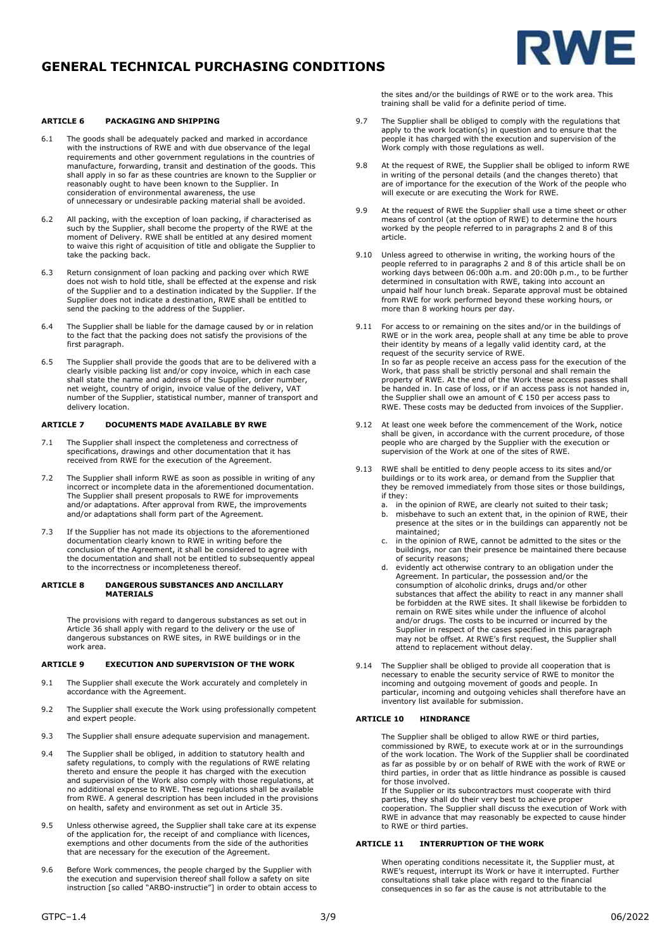

### **ARTICLE 6 PACKAGING AND SHIPPING**

- 6.1 The goods shall be adequately packed and marked in accordance with the instructions of RWE and with due observance of the legal requirements and other government regulations in the countries of manufacture, forwarding, transit and destination of the goods. This shall apply in so far as these countries are known to the Supplier or reasonably ought to have been known to the Supplier. In consideration of environmental awareness, the use of unnecessary or undesirable packing material shall be avoided.
- 6.2 All packing, with the exception of loan packing, if characterised as such by the Supplier, shall become the property of the RWE at the moment of Delivery. RWE shall be entitled at any desired moment to waive this right of acquisition of title and obligate the Supplier to take the packing back.
- 6.3 Return consignment of loan packing and packing over which RWE does not wish to hold title, shall be effected at the expense and risk of the Supplier and to a destination indicated by the Supplier. If the Supplier does not indicate a destination, RWE shall be entitled to send the packing to the address of the Supplier.
- 6.4 The Supplier shall be liable for the damage caused by or in relation to the fact that the packing does not satisfy the provisions of the first paragraph.
- 6.5 The Supplier shall provide the goods that are to be delivered with a clearly visible packing list and/or copy invoice, which in each case shall state the name and address of the Supplier, order number, net weight, country of origin, invoice value of the delivery, VAT number of the Supplier, statistical number, manner of transport and delivery location.

## **ARTICLE 7 DOCUMENTS MADE AVAILABLE BY RWE**

- 7.1 The Supplier shall inspect the completeness and correctness of specifications, drawings and other documentation that it has received from RWE for the execution of the Agreement.
- 7.2 The Supplier shall inform RWE as soon as possible in writing of any incorrect or incomplete data in the aforementioned documentation. The Supplier shall present proposals to RWE for improvements and/or adaptations. After approval from RWE, the improvements and/or adaptations shall form part of the Agreement.
- 7.3 If the Supplier has not made its objections to the aforementioned documentation clearly known to RWE in writing before the conclusion of the Agreement, it shall be considered to agree with the documentation and shall not be entitled to subsequently appeal to the incorrectness or incompleteness thereof.

#### **ARTICLE 8 DANGEROUS SUBSTANCES AND ANCILLARY MATERIALS**

The provisions with regard to dangerous substances as set out in Article 36 shall apply with regard to the delivery or the use of dangerous substances on RWE sites, in RWE buildings or in the work area.

#### **ARTICLE 9 EXECUTION AND SUPERVISION OF THE WORK**

- 9.1 The Supplier shall execute the Work accurately and completely in accordance with the Agreement.
- 9.2 The Supplier shall execute the Work using professionally competent and expert people.
- 9.3 The Supplier shall ensure adequate supervision and management.
- 9.4 The Supplier shall be obliged, in addition to statutory health and safety regulations, to comply with the regulations of RWE relating thereto and ensure the people it has charged with the execution and supervision of the Work also comply with those regulations, at no additional expense to RWE. These regulations shall be available from RWE. A general description has been included in the provisions on health, safety and environment as set out in Article 35.
- 9.5 Unless otherwise agreed, the Supplier shall take care at its expense of the application for, the receipt of and compliance with licences, exemptions and other documents from the side of the authorities that are necessary for the execution of the Agreement.
- 9.6 Before Work commences, the people charged by the Supplier with the execution and supervision thereof shall follow a safety on site instruction [so called "ARBO-instructie"] in order to obtain access to

the sites and/or the buildings of RWE or to the work area. This training shall be valid for a definite period of time.

- 9.7 The Supplier shall be obliged to comply with the regulations that apply to the work location(s) in question and to ensure that the people it has charged with the execution and supervision of the Work comply with those regulations as well.
- 9.8 At the request of RWE, the Supplier shall be obliged to inform RWE in writing of the personal details (and the changes thereto) that are of importance for the execution of the Work of the people who will execute or are executing the Work for RWE.
- 9.9 At the request of RWE the Supplier shall use a time sheet or other means of control (at the option of RWE) to determine the hours worked by the people referred to in paragraphs 2 and 8 of this article.
- 9.10 Unless agreed to otherwise in writing, the working hours of the people referred to in paragraphs 2 and 8 of this article shall be on working days between 06:00h a.m. and 20:00h p.m., to be further determined in consultation with RWE, taking into account an unpaid half hour lunch break. Separate approval must be obtained from RWE for work performed beyond these working hours, or more than 8 working hours per day.
- 9.11 For access to or remaining on the sites and/or in the buildings of RWE or in the work area, people shall at any time be able to prove their identity by means of a legally valid identity card, at the request of the security service of RWE. In so far as people receive an access pass for the execution of the Work, that pass shall be strictly personal and shall remain the property of RWE. At the end of the Work these access passes shall be handed in. In case of loss, or if an access pass is not handed in, the Supplier shall owe an amount of € 150 per access pass to RWE. These costs may be deducted from invoices of the Supplier.
- 9.12 At least one week before the commencement of the Work, notice shall be given, in accordance with the current procedure, of those people who are charged by the Supplier with the execution or supervision of the Work at one of the sites of RWE.
- 9.13 RWE shall be entitled to deny people access to its sites and/or buildings or to its work area, or demand from the Supplier that they be removed immediately from those sites or those buildings, if they:
	- a. in the opinion of RWE, are clearly not suited to their task;<br>b. misbehave to such an extent that, in the opinion of RWE.
	- misbehave to such an extent that, in the opinion of RWE, their presence at the sites or in the buildings can apparently not be maintained;
	- c. in the opinion of RWE, cannot be admitted to the sites or the buildings, nor can their presence be maintained there because of security reasons;
	- evidently act otherwise contrary to an obligation under the Agreement. In particular, the possession and/or the consumption of alcoholic drinks, drugs and/or other substances that affect the ability to react in any manner shall be forbidden at the RWE sites. It shall likewise be forbidden to remain on RWE sites while under the influence of alcohol and/or drugs. The costs to be incurred or incurred by the Supplier in respect of the cases specified in this paragraph may not be offset. At RWE's first request, the Supplier shall attend to replacement without delay.
- 9.14 The Supplier shall be obliged to provide all cooperation that is necessary to enable the security service of RWE to monitor the incoming and outgoing movement of goods and people. In particular, incoming and outgoing vehicles shall therefore have an inventory list available for submission.

#### **ARTICLE 10 HINDRANCE**

The Supplier shall be obliged to allow RWE or third parties, commissioned by RWE, to execute work at or in the surroundings of the work location. The Work of the Supplier shall be coordinated as far as possible by or on behalf of RWE with the work of RWE or third parties, in order that as little hindrance as possible is caused

for those involved. If the Supplier or its subcontractors must cooperate with third parties, they shall do their very best to achieve proper cooperation. The Supplier shall discuss the execution of Work with RWE in advance that may reasonably be expected to cause hinder to RWE or third parties.

#### **ARTICLE 11 INTERRUPTION OF THE WORK**

When operating conditions necessitate it, the Supplier must, at RWE's request, interrupt its Work or have it interrupted. Further consultations shall take place with regard to the financial consequences in so far as the cause is not attributable to the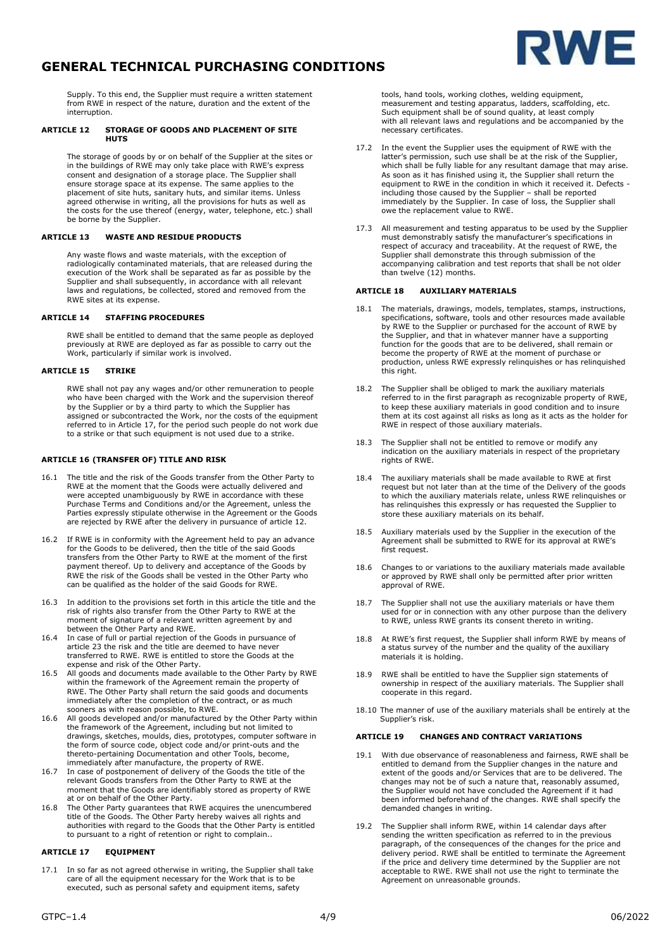

Supply. To this end, the Supplier must require a written statement from RWE in respect of the nature, duration and the extent of the interruption.

#### **ARTICLE 12 STORAGE OF GOODS AND PLACEMENT OF SITE HUTS**

The storage of goods by or on behalf of the Supplier at the sites or<br>in the buildings of RWE may only take place with RWE's express<br>consent and designation of a storage place. The Supplier shall<br>ensure storage space at its placement of site huts, sanitary huts, and similar items. Unless agreed otherwise in writing, all the provisions for huts as well as the costs for the use thereof (energy, water, telephone, etc.) shall be borne by the Supplier.

### **ARTICLE 13 WASTE AND RESIDUE PRODUCTS**

Any waste flows and waste materials, with the exception of radiologically contaminated materials, that are released during the execution of the Work shall be separated as far as possible by the Supplier and shall subsequently, in accordance with all relevant laws and regulations, be collected, stored and removed from the RWE sites at its expense.

## **ARTICLE 14 STAFFING PROCEDURES**

RWE shall be entitled to demand that the same people as deployed previously at RWE are deployed as far as possible to carry out the Work, particularly if similar work is involved.

## **ARTICLE 15 STRIKE**

RWE shall not pay any wages and/or other remuneration to people<br>who have been charged with the Work and the supervision thereof<br>by the Supplier or by a third party to which the Supplier has<br>assigned or subcontracted the Wo referred to in Article 17, for the period such people do not work due to a strike or that such equipment is not used due to a strike.

### **ARTICLE 16 (TRANSFER OF) TITLE AND RISK**

- 16.1 The title and the risk of the Goods transfer from the Other Party to RWE at the moment that the Goods were actually delivered and were accepted unambiguously by RWE in accordance with these Purchase Terms and Conditions and/or the Agreement, unless the Parties expressly stipulate otherwise in the Agreement or the Goods are rejected by RWE after the delivery in pursuance of article 12.
- 16.2 If RWE is in conformity with the Agreement held to pay an advance for the Goods to be delivered, then the title of the said Goods transfers from the Other Party to RWE at the moment of the first payment thereof. Up to delivery and acceptance of the Goods by RWE the risk of the Goods shall be vested in the Other Party who can be qualified as the holder of the said Goods for RWE.
- 16.3 In addition to the provisions set forth in this article the title and the risk of rights also transfer from the Other Party to RWE at the moment of signature of a relevant written agreement by and
- between the Other Party and RWE. 16.4 In case of full or partial rejection of the Goods in pursuance of article 23 the risk and the title are deemed to have never transferred to RWE. RWE is entitled to store the Goods at the expense and risk of the Other Party.
- 16.5 All goods and documents made available to the Other Party by RWE within the framework of the Agreement remain the property of RWE. The Other Party shall return the said goods and documents immediately after the completion of the contract, or as much sooners as with reason possible, to RWE.
- 16.6 All goods developed and/or manufactured by the Other Party within the framework of the Agreement, including but not limited to drawings, sketches, moulds, dies, prototypes, computer software in the form of source code, object code and/or print-outs and the thereto-pertaining Documentation and other Tools, become, immediately after manufacture, the property of RWE.
- 16.7 In case of postponement of delivery of the Goods the title of the relevant Goods transfers from the Other Party to RWE at the moment that the Goods are identifiably stored as property of RWE
- at or on behalf of the Other Party. 16.8 The Other Party guarantees that RWE acquires the unencumbered title of the Goods. The Other Party hereby waives all rights and authorities with regard to the Goods that the Other Party is entitled to pursuant to a right of retention or right to complain..

#### **ARTICLE 17 EQUIPMENT**

17.1 In so far as not agreed otherwise in writing, the Supplier shall take care of all the equipment necessary for the Work that is to be executed, such as personal safety and equipment items, safety

tools, hand tools, working clothes, welding equipment, measurement and testing apparatus, ladders, scaffolding, etc. Such equipment shall be of sound quality, at least comply with all relevant laws and regulations and be accompanied by the necessary certificates.

- 17.2 In the event the Supplier uses the equipment of RWE with the latter's permission, such use shall be at the risk of the Supplier, which shall be fully liable for any resultant damage that may arise. As soon as it has finished using it, the Supplier shall return the equipment to RWE in the condition in which it received it. Defects including those caused by the Supplier – shall be reported immediately by the Supplier. In case of loss, the Supplier shall owe the replacement value to RWE.
- 17.3 All measurement and testing apparatus to be used by the Supplier must demonstrably satisfy the manufacturer's specifications in respect of accuracy and traceability. At the request of RWE, the Supplier shall demonstrate this through submission of the accompanying calibration and test reports that shall be not older than twelve (12) months.

#### **ARTICLE 18 AUXILIARY MATERIALS**

- 18.1 The materials, drawings, models, templates, stamps, instructions, specifications, software, tools and other resources made available by RWE to the Supplier or purchased for the account of RWE by the Supplier, and that in whatever manner have a supporting function for the goods that are to be delivered, shall remain or become the property of RWE at the moment of purchase or production, unless RWE expressly relinquishes or has relinquished this right.
- 18.2 The Supplier shall be obliged to mark the auxiliary materials referred to in the first paragraph as recognizable property of RWE, to keep these auxiliary materials in good condition and to insure them at its cost against all risks as long as it acts as the holder for RWE in respect of those auxiliary materials.
- 18.3 The Supplier shall not be entitled to remove or modify any indication on the auxiliary materials in respect of the proprietary rights of RWE.
- 18.4 The auxiliary materials shall be made available to RWE at first request but not later than at the time of the Delivery of the goods to which the auxiliary materials relate, unless RWE relinquishes or has relinquishes this expressly or has requested the Supplier to store these auxiliary materials on its behalf.
- 18.5 Auxiliary materials used by the Supplier in the execution of the Agreement shall be submitted to RWE for its approval at RWE's first request.
- 18.6 Changes to or variations to the auxiliary materials made available or approved by RWE shall only be permitted after prior written approval of RWE.
- 18.7 The Supplier shall not use the auxiliary materials or have them used for or in connection with any other purpose than the delivery to RWE, unless RWE grants its consent thereto in writing.
- 18.8 At RWE's first request, the Supplier shall inform RWE by means of a status survey of the number and the quality of the auxiliary materials it is holding.
- 18.9 RWE shall be entitled to have the Supplier sign statements of ownership in respect of the auxiliary materials. The Supplier shall cooperate in this regard.
- 18.10 The manner of use of the auxiliary materials shall be entirely at the Supplier's risk.

#### **ARTICLE 19 CHANGES AND CONTRACT VARIATIONS**

- 19.1 With due observance of reasonableness and fairness, RWE shall be entitled to demand from the Supplier changes in the nature and extent of the goods and/or Services that are to be delivered. The changes may not be of such a nature that, reasonably assumed, the Supplier would not have concluded the Agreement if it had been informed beforehand of the changes. RWE shall specify the demanded changes in writing.
- 19.2 The Supplier shall inform RWE, within 14 calendar days after sending the written specification as referred to in the previous paragraph, of the consequences of the changes for the price and delivery period. RWE shall be entitled to terminate the Agreement if the price and delivery time determined by the Supplier are not acceptable to RWE. RWE shall not use the right to terminate the Agreement on unreasonable grounds.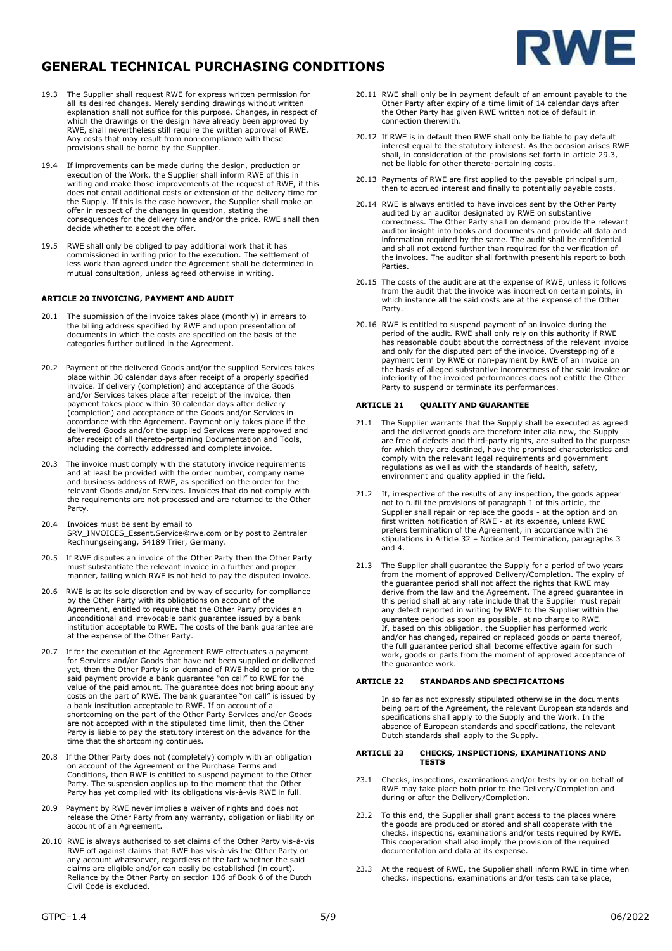



- 19.3 The Supplier shall request RWE for express written permission for all its desired changes. Merely sending drawings without written explanation shall not suffice for this purpose. Changes, in respect of which the drawings or the design have already been approved by RWE, shall nevertheless still require the written approval of RWE. Any costs that may result from non-compliance with these provisions shall be borne by the Supplier.
- 19.4 If improvements can be made during the design, production or execution of the Work, the Supplier shall inform RWE of this in writing and make those improvements at the request of RWE, if this does not entail additional costs or extension of the delivery time for the Supply. If this is the case however, the Supplier shall make an offer in respect of the changes in question, stating the consequences for the delivery time and/or the price. RWE shall then decide whether to accept the offer.
- 19.5 RWE shall only be obliged to pay additional work that it has commissioned in writing prior to the execution. The settlement of less work than agreed under the Agreement shall be determined in mutual consultation, unless agreed otherwise in writing.

### **ARTICLE 20 INVOICING, PAYMENT AND AUDIT**

- 20.1 The submission of the invoice takes place (monthly) in arrears to the billing address specified by RWE and upon presentation of documents in which the costs are specified on the basis of the categories further outlined in the Agreement.
- 20.2 Payment of the delivered Goods and/or the supplied Services takes place within 30 calendar days after receipt of a properly specified invoice. If delivery (completion) and acceptance of the Goods and/or Services takes place after receipt of the invoice, then payment takes place within 30 calendar days after delivery (completion) and acceptance of the Goods and/or Services in accordance with the Agreement. Payment only takes place if the delivered Goods and/or the supplied Services were approved and after receipt of all thereto-pertaining Documentation and Tools, including the correctly addressed and complete invoice.
- 20.3 The invoice must comply with the statutory invoice requirements and at least be provided with the order number, company name and business address of RWE, as specified on the order for the relevant Goods and/or Services. Invoices that do not comply with the requirements are not processed and are returned to the Other Party.
- 20.4 Invoices must be sent by email to [SRV\\_INVOICES\\_Essent.Service@rwe.com](mailto:SRV_INVOICES_Essent.Service@rwe.com) or by post to Zentraler Rechnungseingang, 54189 Trier, Germany.
- 20.5 If RWE disputes an invoice of the Other Party then the Other Party must substantiate the relevant invoice in a further and proper manner, failing which RWE is not held to pay the disputed invoice.
- 20.6 RWE is at its sole discretion and by way of security for compliance by the Other Party with its obligations on account of the Agreement, entitled to require that the Other Party provides an unconditional and irrevocable bank guarantee issued by a bank institution acceptable to RWE. The costs of the bank guarantee are at the expense of the Other Party.
- 20.7 If for the execution of the Agreement RWE effectuates a payment for Services and/or Goods that have not been supplied or delivered yet, then the Other Party is on demand of RWE held to prior to the said payment provide a bank guarantee "on call" to RWE for the value of the paid amount. The guarantee does not bring about any costs on the part of RWE. The bank guarantee "on call" is issued by<br>a bank institution acceptable to RWE. If on account of a<br>shortcoming on the part of the Other Party Services and/or Goods<br>are not accepted within the stip Party is liable to pay the statutory interest on the advance for the time that the shortcoming continues.
- 20.8 If the Other Party does not (completely) comply with an obligation on account of the Agreement or the Purchase Terms and Conditions, then RWE is entitled to suspend payment to the Other Party. The suspension applies up to the moment that the Other Party has yet complied with its obligations vis-à-vis RWE in full.
- 20.9 Payment by RWE never implies a waiver of rights and does not release the Other Party from any warranty, obligation or liability on account of an Agreement.
- 20.10 RWE is always authorised to set claims of the Other Party vis-à-vis RWE off against claims that RWE has vis-à-vis the Other Party on any account whatsoever, regardless of the fact whether the said claims are eligible and/or can easily be established (in court). Reliance by the Other Party on section 136 of Book 6 of the Dutch Civil Code is excluded.
- 20.11 RWE shall only be in payment default of an amount payable to the Other Party after expiry of a time limit of 14 calendar days after the Other Party has given RWE written notice of default in connection therewith.
- 20.12 If RWE is in default then RWE shall only be liable to pay default interest equal to the statutory interest. As the occasion arises RWE shall, in consideration of the provisions set forth in article 29.3, not be liable for other thereto-pertaining costs.
- 20.13 Payments of RWE are first applied to the payable principal sum, then to accrued interest and finally to potentially payable costs.
- 20.14 RWE is always entitled to have invoices sent by the Other Party audited by an auditor designated by RWE on substantive correctness. The Other Party shall on demand provide the relevant auditor insight into books and documents and provide all data and information required by the same. The audit shall be confidential and shall not extend further than required for the verification of the invoices. The auditor shall forthwith present his report to both **Parties**
- 20.15 The costs of the audit are at the expense of RWE, unless it follows from the audit that the invoice was incorrect on certain points, in which instance all the said costs are at the expense of the Other Party.
- 20.16 RWE is entitled to suspend payment of an invoice during the period of the audit. RWE shall only rely on this authority if RWE has reasonable doubt about the correctness of the relevant invoice and only for the disputed part of the invoice. Overstepping of a payment term by RWE or non-payment by RWE of an invoice on the basis of alleged substantive incorrectness of the said invoice or inferiority of the invoiced performances does not entitle the Other Party to suspend or terminate its performances.

#### **ARTICLE 21 QUALITY AND GUARANTEE**

- 21.1 The Supplier warrants that the Supply shall be executed as agreed and the delivered goods are therefore inter alia new, the Supply are free of defects and third-party rights, are suited to the purpose for which they are destined, have the promised characteristics and comply with the relevant legal requirements and government regulations as well as with the standards of health, safety, environment and quality applied in the field.
- 21.2 If, irrespective of the results of any inspection, the goods appear not to fulfil the provisions of paragraph 1 of this article, the<br>Supplier shall repair or replace the goods - at the option and on<br>first written notification of RWE - at its expense, unless RWE<br>prefers termination of the A stipulations in Article 32 – Notice and Termination, paragraphs 3 and 4.
- 21.3 The Supplier shall guarantee the Supply for a period of two years from the moment of approved Delivery/Completion. The expiry of the guarantee period shall not affect the rights that RWE may derive from the law and the Agreement. The agreed guarantee in this period shall at any rate include that the Supplier must repair<br>any defect reported in writing by RWE to the Supplier within the<br>guarantee period as soon as possible, at no charge to RWE.<br>If, based on this obligation, and/or has changed, repaired or replaced goods or parts thereof, the full guarantee period shall become effective again for such work, goods or parts from the moment of approved acceptance of the guarantee work.

#### **ARTICLE 22 STANDARDS AND SPECIFICATIONS**

In so far as not expressly stipulated otherwise in the documents being part of the Agreement, the relevant European standards and specifications shall apply to the Supply and the Work. In the absence of European standards and specifications, the relevant Dutch standards shall apply to the Supply.

#### **ARTICLE 23 CHECKS, INSPECTIONS, EXAMINATIONS AND TESTS**

- 23.1 Checks, inspections, examinations and/or tests by or on behalf of RWE may take place both prior to the Delivery/Completion and during or after the Delivery/Completion.
- 23.2 To this end, the Supplier shall grant access to the places where the goods are produced or stored and shall cooperate with the checks, inspections, examinations and/or tests required by RWE. This cooperation shall also imply the provision of the required documentation and data at its expense.
- 23.3 At the request of RWE, the Supplier shall inform RWE in time when checks, inspections, examinations and/or tests can take place,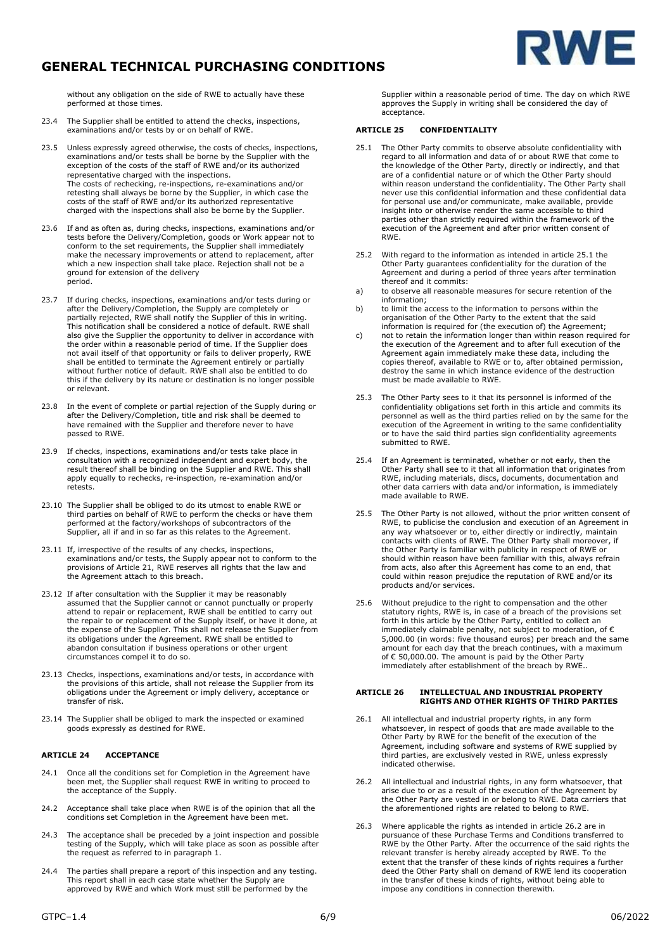

without any obligation on the side of RWE to actually have these performed at those times.

- 23.4 The Supplier shall be entitled to attend the checks, inspections, examinations and/or tests by or on behalf of RWE.
- 23.5 Unless expressly agreed otherwise, the costs of checks, inspections, examinations and/or tests shall be borne by the Supplier with the exception of the costs of the staff of RWE and/or its authorized representative charged with the inspections. The costs of rechecking, re-inspections, re-examinations and/or retesting shall always be borne by the Supplier, in which case the costs of the staff of RWE and/or its authorized representative charged with the inspections shall also be borne by the Supplier.
- 23.6 If and as often as, during checks, inspections, examinations and/or tests before the Delivery/Completion, goods or Work appear not to conform to the set requirements, the Supplier shall immediately make the necessary improvements or attend to replacement, after which a new inspection shall take place. Rejection shall not be a ground for extension of the delivery period.
- 23.7 If during checks, inspections, examinations and/or tests during or after the Delivery/Completion, the Supply are completely or partially rejected, RWE shall notify the Supplier of this in writing. This notification shall be considered a notice of default. RWE shall also give the Supplier the opportunity to deliver in accordance with the order within a reasonable period of time. If the Supplier does not avail itself of that opportunity or fails to deliver properly, RWE shall be entitled to terminate the Agreement entirely or partially without further notice of default. RWE shall also be entitled to do this if the delivery by its nature or destination is no longer possible or relevant.
- 23.8 In the event of complete or partial rejection of the Supply during or after the Delivery/Completion, title and risk shall be deemed to have remained with the Supplier and therefore never to have passed to RWE.
- 23.9 If checks, inspections, examinations and/or tests take place in consultation with a recognized independent and expert body, the result thereof shall be binding on the Supplier and RWE. This shall apply equally to rechecks, re-inspection, re-examination and/or retests.
- 23.10 The Supplier shall be obliged to do its utmost to enable RWE or third parties on behalf of RWE to perform the checks or have them performed at the factory/workshops of subcontractors of the Supplier, all if and in so far as this relates to the Agreement.
- 23.11 If, irrespective of the results of any checks, inspections, examinations and/or tests, the Supply appear not to conform to the provisions of Article 21, RWE reserves all rights that the law and the Agreement attach to this breach.
- 23.12 If after consultation with the Supplier it may be reasonably assumed that the Supplier cannot or cannot punctually or properly attend to repair or replacement, RWE shall be entitled to carry out the repair to or replacement of the Supply itself, or have it done, at the expense of the Supplier. This shall not release the Supplier from its obligations under the Agreement. RWE shall be entitled to abandon consultation if business operations or other urgent circumstances compel it to do so.
- 23.13 Checks, inspections, examinations and/or tests, in accordance with the provisions of this article, shall not release the Supplier from its obligations under the Agreement or imply delivery, acceptance or transfer of risk.
- 23.14 The Supplier shall be obliged to mark the inspected or examined goods expressly as destined for RWE.

### **ARTICLE 24 ACCEPTANCE**

- 24.1 Once all the conditions set for Completion in the Agreement have been met, the Supplier shall request RWE in writing to proceed to the acceptance of the Supply.
- 24.2 Acceptance shall take place when RWE is of the opinion that all the conditions set Completion in the Agreement have been met.
- 24.3 The acceptance shall be preceded by a joint inspection and possible testing of the Supply, which will take place as soon as possible after the request as referred to in paragraph 1.
- 24.4 The parties shall prepare a report of this inspection and any testing. This report shall in each case state whether the Supply are approved by RWE and which Work must still be performed by the

Supplier within a reasonable period of time. The day on which RWE approves the Supply in writing shall be considered the day of acceptance.

#### **ARTICLE 25 CONFIDENTIALITY**

- 25.1 The Other Party commits to observe absolute confidentiality with regard to all information and data of or about RWE that come to the knowledge of the Other Party, directly or indirectly, and that are of a confidential nature or of which the Other Party should within reason understand the confidentiality. The Other Party shall never use this confidential information and these confidential data for personal use and/or communicate, make available, provide insight into or otherwise render the same accessible to third parties other than strictly required within the framework of the execution of the Agreement and after prior written consent of RWE.
- 25.2 With regard to the information as intended in article 25.1 the Other Party guarantees confidentiality for the duration of the Agreement and during a period of three years after termination thereof and it commits:
- a) to observe all reasonable measures for secure retention of the information;
- b) to limit the access to the information to persons within the organisation of the Other Party to the extent that the said information is required for (the execution of) the Agreement;
- c) not to retain the information longer than within reason required for the execution of the Agreement and to after full execution of the Agreement again immediately make these data, including the copies thereof, available to RWE or to, after obtained permission, destroy the same in which instance evidence of the destruction must be made available to RWE.
- 25.3 The Other Party sees to it that its personnel is informed of the confidentiality obligations set forth in this article and commits its personnel as well as the third parties relied on by the same for the execution of the Agreement in writing to the same confidentiality or to have the said third parties sign confidentiality agreements submitted to RWE.
- 25.4 If an Agreement is terminated, whether or not early, then the Other Party shall see to it that all information that originates from RWE, including materials, discs, documents, documentation and other data carriers with data and/or information, is immediately made available to RWE.
- 25.5 The Other Party is not allowed, without the prior written consent of RWE, to publicise the conclusion and execution of an Agreement in any way whatsoever or to, either directly or indirectly, maintain contacts with clients of RWE. The Other Party shall moreover, if the Other Party is familiar with publicity in respect of RWE or should within reason have been familiar with this, always refrain from acts, also after this Agreement has come to an end, that could within reason prejudice the reputation of RWE and/or its products and/or services.
- 25.6 Without prejudice to the right to compensation and the other statutory rights, RWE is, in case of a breach of the provisions set forth in this article by the Other Party, entitled to collect an immediately claimable penalty, not subject to moderation, of  $\epsilon$ 5,000.00 (in words: five thousand euros) per breach and the same amount for each day that the breach continues, with a maximum of € 50,000.00. The amount is paid by the Other Party immediately after establishment of the breach by RWE..

# **ARTICLE 26 INTELLECTUAL AND INDUSTRIAL PROPERTY RIGHTS AND OTHER RIGHTS OF THIRD PARTIES**

- 26.1 All intellectual and industrial property rights, in any form whatsoever, in respect of goods that are made available to the Other Party by RWE for the benefit of the execution of the Agreement, including software and systems of RWE supplied by third parties, are exclusively vested in RWE, unless expressly indicated otherwise.
- 26.2 All intellectual and industrial rights, in any form whatsoever, that arise due to or as a result of the execution of the Agreement by the Other Party are vested in or belong to RWE. Data carriers that the aforementioned rights are related to belong to RWE.
- 26.3 Where applicable the rights as intended in article 26.2 are in<br>pursuance of these Purchase Terms and Conditions transferred to<br>RWE by the Other Party. After the occurrence of the said rights<br>the relevant transfer is h deed the Other Party shall on demand of RWE lend its cooperation in the transfer of these kinds of rights, without being able to impose any conditions in connection therewith.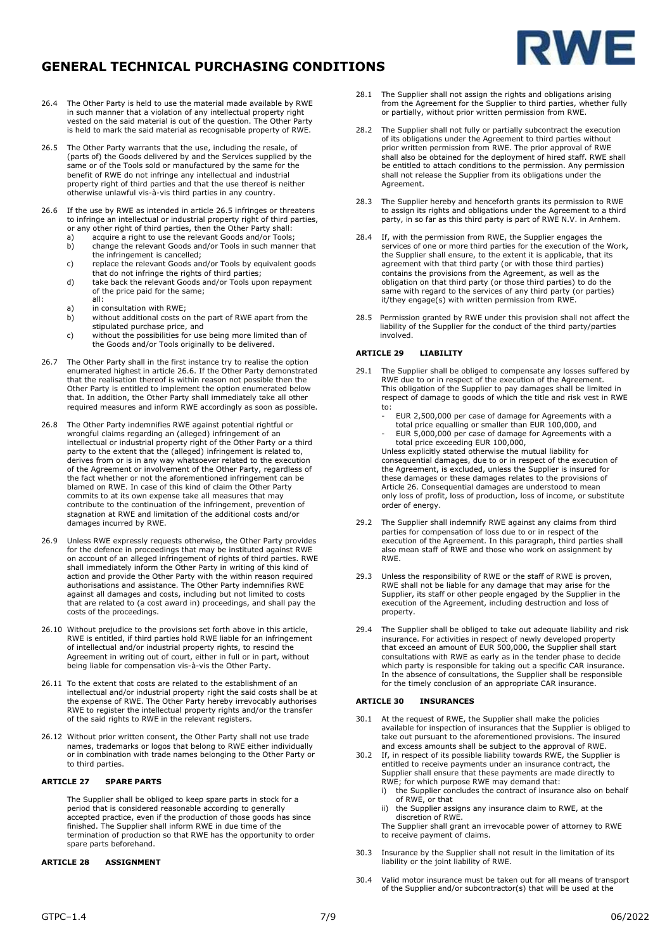

- 26.4 The Other Party is held to use the material made available by RWE in such manner that a violation of any intellectual property right vested on the said material is out of the question. The Other Party is held to mark the said material as recognisable property of RWE.
- 26.5 The Other Party warrants that the use, including the resale, of (parts of) the Goods delivered by and the Services supplied by the same or of the Tools sold or manufactured by the same for the benefit of RWE do not infringe any intellectual and industrial property right of third parties and that the use thereof is neither otherwise unlawful vis-à-vis third parties in any country.
- 26.6 If the use by RWE as intended in article 26.5 infringes or threatens to infringe an intellectual or industrial property right of third parties, or any other right of third parties, then the Other Party shall:<br>a) acquire a right to use the relevant Goods and/or Tools
	- a) acquire a right to use the relevant Goods and/or Tools;<br>b) change the relevant Goods and/or Tools in such manne change the relevant Goods and/or Tools in such manner that
	- the infringement is cancelled; c) replace the relevant Goods and/or Tools by equivalent goods that do not infringe the rights of third parties;
	- d) take back the relevant Goods and/or Tools upon repayment of the price paid for the same; all:
	-
	- a) in consultation with RWE;<br>b) without additional costs o m construction manning. stipulated purchase price, and
	- c) without the possibilities for use being more limited than of the Goods and/or Tools originally to be delivered.
- 26.7 The Other Party shall in the first instance try to realise the option enumerated highest in article 26.6. If the Other Party demonstrated that the realisation thereof is within reason not possible then the Other Party is entitled to implement the option enumerated below that. In addition, the Other Party shall immediately take all other required measures and inform RWE accordingly as soon as possible.
- 26.8 The Other Party indemnifies RWE against potential rightful or wrongful claims regarding an (alleged) infringement of an intellectual or industrial property right of the Other Party or a third party to the extent that the (alleged) infringement is related to, derives from or is in any way whatsoever related to the execution of the Agreement or involvement of the Other Party, regardless of the fact whether or not the aforementioned infringement can be blamed on RWE. In case of this kind of claim the Other Party commits to at its own expense take all measures that may contribute to the continuation of the infringement, prevention of stagnation at RWE and limitation of the additional costs and/or damages incurred by RWE.
- 26.9 Unless RWE expressly requests otherwise, the Other Party provides for the defence in proceedings that may be instituted against RWE on account of an alleged infringement of rights of third parties. RWE shall immediately inform the Other Party in writing of this kind of action and provide the Other Party with the within reason required authorisations and assistance. The Other Party indemnifies RWE against all damages and costs, including but not limited to costs that are related to (a cost award in) proceedings, and shall pay the costs of the proceedings.
- 26.10 Without prejudice to the provisions set forth above in this article, RWE is entitled, if third parties hold RWE liable for an infringement of intellectual and/or industrial property rights, to rescind the Agreement in writing out of court, either in full or in part, without being liable for compensation vis-à-vis the Other Party.
- 26.11 To the extent that costs are related to the establishment of an intellectual and/or industrial property right the said costs shall be at the expense of RWE. The Other Party hereby irrevocably authorises RWE to register the intellectual property rights and/or the transfer of the said rights to RWE in the relevant registers.
- 26.12 Without prior written consent, the Other Party shall not use trade names, trademarks or logos that belong to RWE either individually or in combination with trade names belonging to the Other Party or to third parties.

#### **ARTICLE 27 SPARE PARTS**

The Supplier shall be obliged to keep spare parts in stock for a period that is considered reasonable according to generally accepted practice, even if the production of those goods has since finished. The Supplier shall inform RWE in due time of the termination of production so that RWE has the opportunity to order spare parts beforehand.

#### **ARTICLE 28 ASSIGNMENT**

- 28.1 The Supplier shall not assign the rights and obligations arising from the Agreement for the Supplier to third parties, whether fully or partially, without prior written permission from RWE.
- 28.2 The Supplier shall not fully or partially subcontract the execution of its obligations under the Agreement to third parties without prior written permission from RWE. The prior approval of RWE shall also be obtained for the deployment of hired staff. RWE shall be entitled to attach conditions to the permission. Any permission shall not release the Supplier from its obligations under the Agreement.
- 28.3 The Supplier hereby and henceforth grants its permission to RWE to assign its rights and obligations under the Agreement to a third party, in so far as this third party is part of RWE N.V. in Arnhem.
- 28.4 If, with the permission from RWE, the Supplier engages the services of one or more third parties for the execution of the Work, the Supplier shall ensure, to the extent it is applicable, that its agreement with that third party (or with those third parties) contains the provisions from the Agreement, as well as the obligation on that third party (or those third parties) to do the same with regard to the services of any third party (or parties) it/they engage(s) with written permission from RWE.
- 28.5 Permission granted by RWE under this provision shall not affect the liability of the Supplier for the conduct of the third party/parties involved.

#### **ARTICLE 29 LIABILITY**

- 29.1 The Supplier shall be obliged to compensate any losses suffered by RWE due to or in respect of the execution of the Agreement. This obligation of the Supplier to pay damages shall be limited in respect of damage to goods of which the title and risk vest in RWE to:
	- EUR 2,500,000 per case of damage for Agreements with a total price equalling or smaller than EUR 100,000, and
	- EUR 5,000,000 per case of damage for Agreements with a

total price exceeding EUR 100,000, Unless explicitly stated otherwise the mutual liability for consequential damages, due to or in respect of the execution of the Agreement, is excluded, unless the Supplier is insured for these damages or these damages relates to the provisions of Article 26. Consequential damages are understood to mean only loss of profit, loss of production, loss of income, or substitute order of energy.

- 29.2 The Supplier shall indemnify RWE against any claims from third parties for compensation of loss due to or in respect of the execution of the Agreement. In this paragraph, third parties shall also mean staff of RWE and those who work on assignment by RWE.
- 29.3 Unless the responsibility of RWE or the staff of RWE is proven, RWE shall not be liable for any damage that may arise for the Supplier, its staff or other people engaged by the Supplier in the execution of the Agreement, including destruction and loss of property.
- 29.4 The Supplier shall be obliged to take out adequate liability and risk insurance. For activities in respect of newly developed property that exceed an amount of EUR 500,000, the Supplier shall start consultations with RWE as early as in the tender phase to decide which party is responsible for taking out a specific CAR insurance. In the absence of consultations, the Supplier shall be responsible for the timely conclusion of an appropriate CAR insurance.

#### **ARTICLE 30 INSURANCES**

- 30.1 At the request of RWE, the Supplier shall make the policies available for inspection of insurances that the Supplier is obliged to take out pursuant to the aforementioned provisions. The insured and excess amounts shall be subject to the approval of RWE.
- 30.2 If, in respect of its possible liability towards RWE, the Supplier is entitled to receive payments under an insurance contract, the Supplier shall ensure that these payments are made directly to
	- RWE; for which purpose RWE may demand that: i) the Supplier concludes the contract of insurance also on behalf of RWE, or that
	- the Supplier assigns any insurance claim to RWE, at the discretion of RWE.
	- The Supplier shall grant an irrevocable power of attorney to RWE to receive payment of claims.
- 30.3 Insurance by the Supplier shall not result in the limitation of its liability or the joint liability of RWE.
- 30.4 Valid motor insurance must be taken out for all means of transport of the Supplier and/or subcontractor(s) that will be used at the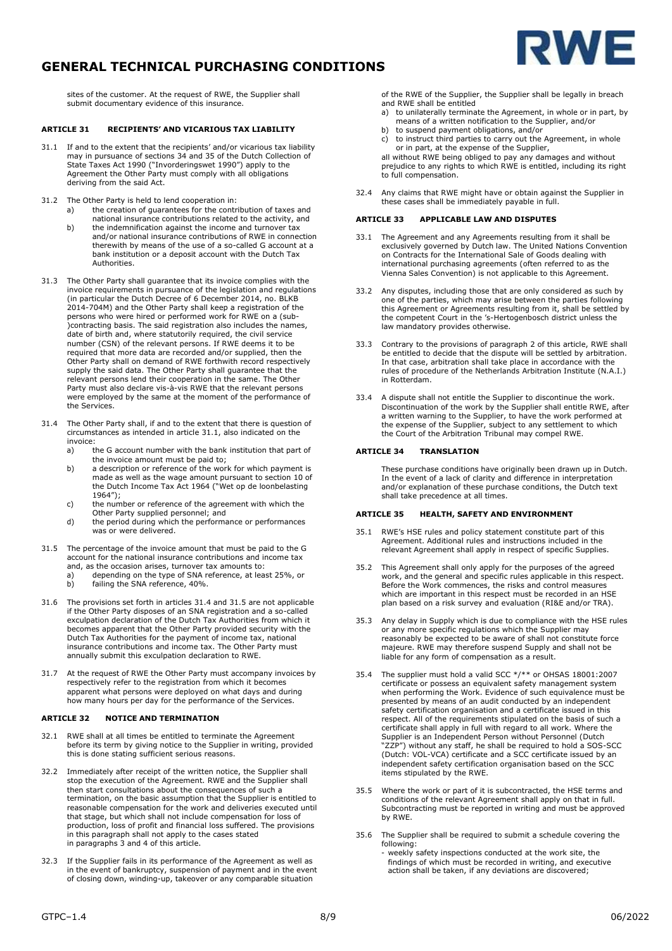



sites of the customer. At the request of RWE, the Supplier shall submit documentary evidence of this insurance.

## **ARTICLE 31 RECIPIENTS' AND VICARIOUS TAX LIABILITY**

- 31.1 If and to the extent that the recipients' and/or vicarious tax liability may in pursuance of sections 34 and 35 of the Dutch Collection of State Taxes Act 1990 ("Invorderingswet 1990") apply to the Agreement the Other Party must comply with all obligations deriving from the said Act.
- 31.2 The Other Party is held to lend cooperation in:
	- a) the creation of guarantees for the contribution of taxes and national insurance contributions related to the activity, and
	- b) the indemnification against the income and turnover tax and/or national insurance contributions of RWE in connection therewith by means of the use of a so-called G account at a bank institution or a deposit account with the Dutch Tax Authorities.
- 31.3 The Other Party shall guarantee that its invoice complies with the invoice requirements in pursuance of the legislation and regulations (in particular the Dutch Decree of 6 December 2014, no. BLKB 2014-704M) and the Other Party shall keep a registration of the persons who were hired or performed work for RWE on a (sub- )contracting basis. The said registration also includes the names, date of birth and, where statutorily required, the civil service number (CSN) of the relevant persons. If RWE deems it to be required that more data are recorded and/or supplied, then the Other Party shall on demand of RWE forthwith record respectively supply the said data. The Other Party shall guarantee that the relevant persons lend their cooperation in the same. The Other Party must also declare vis-à-vis RWE that the relevant persons were employed by the same at the moment of the performance of the Services.
- 31.4 The Other Party shall, if and to the extent that there is question of circumstances as intended in article 31.1, also indicated on the invoice:
	- a) the G account number with the bank institution that part of the invoice amount must be paid to;
	- b) a description or reference of the work for which payment is made as well as the wage amount pursuant to section 10 of the Dutch Income Tax Act 1964 ("Wet op de loonbelasting 1964");
	- c) the number or reference of the agreement with which the Other Party supplied personnel; and
	- d) the period during which the performance or performances was or were delivered.
- 31.5 The percentage of the invoice amount that must be paid to the G account for the national insurance contributions and income tax and, as the occasion arises, turnover tax amounts to:
	- a) depending on the type of SNA reference, at least 25%, or b) failing the SNA reference, 40%.
	-
- 31.6 The provisions set forth in articles 31.4 and 31.5 are not applicable if the Other Party disposes of an SNA registration and a so-called exculpation declaration of the Dutch Tax Authorities from which it becomes apparent that the Other Party provided security with the Dutch Tax Authorities for the payment of income tax, national insurance contributions and income tax. The Other Party must annually submit this exculpation declaration to RWE.
- 31.7 At the request of RWE the Other Party must accompany invoices by respectively refer to the registration from which it becomes apparent what persons were deployed on what days and during how many hours per day for the performance of the Services.

#### **ARTICLE 32 NOTICE AND TERMINATION**

- 32.1 RWE shall at all times be entitled to terminate the Agreement before its term by giving notice to the Supplier in writing, provided this is done stating sufficient serious reasons.
- 32.2 Immediately after receipt of the written notice, the Supplier shall stop the execution of the Agreement. RWE and the Supplier shall then start consultations about the consequences of such a termination, on the basic assumption that the Supplier is entitled to reasonable compensation for the work and deliveries executed until that stage, but which shall not include compensation for loss of production, loss of profit and financial loss suffered. The provisions in this paragraph shall not apply to the cases stated in paragraphs 3 and 4 of this article.
- 32.3 If the Supplier fails in its performance of the Agreement as well as in the event of bankruptcy, suspension of payment and in the event of closing down, winding-up, takeover or any comparable situation
- of the RWE of the Supplier, the Supplier shall be legally in breach and RWE shall be entitled
- a) to unilaterally terminate the Agreement, in whole or in part, by means of a written notification to the Supplier, and/or
- b) to suspend payment obligations, and/or<br>c) to instruct third parties to carry out the
- to instruct third parties to carry out the Agreement, in whole or in part, at the expense of the Supplier,
- all without RWE being obliged to pay any damages and without prejudice to any rights to which RWE is entitled, including its right to full compensation.
- 32.4 Any claims that RWE might have or obtain against the Supplier in these cases shall be immediately payable in full.

#### **ARTICLE 33 APPLICABLE LAW AND DISPUTES**

- 33.1 The Agreement and any Agreements resulting from it shall be exclusively governed by Dutch law. The United Nations Convention on Contracts for the International Sale of Goods dealing with international purchasing agreements (often referred to as the Vienna Sales Convention) is not applicable to this Agreement.
- 33.2 Any disputes, including those that are only considered as such by one of the parties, which may arise between the parties following this Agreement or Agreements resulting from it, shall be settled by the competent Court in the 's-Hertogenbosch district unless the law mandatory provides otherwise.
- 33.3 Contrary to the provisions of paragraph 2 of this article, RWE shall be entitled to decide that the dispute will be settled by arbitration. In that case, arbitration shall take place in accordance with the rules of procedure of the Netherlands Arbitration Institute (N.A.I.) in Rotterdam.
- 33.4 A dispute shall not entitle the Supplier to discontinue the work. Discontinuation of the work by the Supplier shall entitle RWE, after a written warning to the Supplier, to have the work performed at the expense of the Supplier, subject to any settlement to which the Court of the Arbitration Tribunal may compel RWE.

# **ARTICLE 34 TRANSLATION**

These purchase conditions have originally been drawn up in Dutch. In the event of a lack of clarity and difference in interpretation and/or explanation of these purchase conditions, the Dutch text shall take precedence at all times.

#### **ARTICLE 35 HEALTH, SAFETY AND ENVIRONMENT**

- 35.1 RWE's HSE rules and policy statement constitute part of this Agreement. Additional rules and instructions included in the relevant Agreement shall apply in respect of specific Supplies.
- 35.2 This Agreement shall only apply for the purposes of the agreed work, and the general and specific rules applicable in this respect. Before the Work commences, the risks and control measures which are important in this respect must be recorded in an HSE plan based on a risk survey and evaluation (RI&E and/or TRA).
- 35.3 Any delay in Supply which is due to compliance with the HSE rules or any more specific regulations which the Supplier may reasonably be expected to be aware of shall not constitute force majeure. RWE may therefore suspend Supply and shall not be liable for any form of compensation as a result.
- 35.4 The supplier must hold a valid SCC \*/\*\* or OHSAS 18001:2007 certificate or possess an equivalent safety management system when performing the Work. Evidence of such equivalence must be presented by means of an audit conducted by an independent safety certification organisation and a certificate issued in this respect. All of the requirements stipulated on the basis of such a certificate shall apply in full with regard to all work. Where the<br>Supplier is an Independent Person without Personnel (Dutch<br>"ZZP") without any staff, he shall be required to hold a SOS-SCC<br>(Dutch: VOL-VCA) certificate an independent safety certification organisation based on the SCC items stipulated by the RWE.
- 35.5 Where the work or part of it is subcontracted, the HSE terms and conditions of the relevant Agreement shall apply on that in full. Subcontracting must be reported in writing and must be approved by RWE.
- 35.6 The Supplier shall be required to submit a schedule covering the following:
	- weekly safety inspections conducted at the work site, the findings of which must be recorded in writing, and executive action shall be taken, if any deviations are discovered;